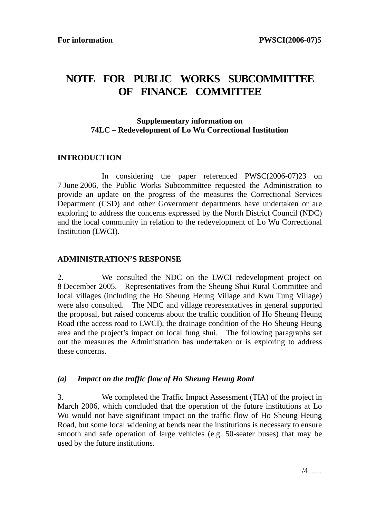# **NOTE FOR PUBLIC WORKS SUBCOMMITTEE OF FINANCE COMMITTEE**

# **Supplementary information on 74LC – Redevelopment of Lo Wu Correctional Institution**

## **INTRODUCTION**

 In considering the paper referenced PWSC(2006-07)23 on 7 June 2006, the Public Works Subcommittee requested the Administration to provide an update on the progress of the measures the Correctional Services Department (CSD) and other Government departments have undertaken or are exploring to address the concerns expressed by the North District Council (NDC) and the local community in relation to the redevelopment of Lo Wu Correctional Institution (LWCI).

#### **ADMINISTRATION'S RESPONSE**

2. We consulted the NDC on the LWCI redevelopment project on 8 December 2005. Representatives from the Sheung Shui Rural Committee and local villages (including the Ho Sheung Heung Village and Kwu Tung Village) were also consulted. The NDC and village representatives in general supported the proposal, but raised concerns about the traffic condition of Ho Sheung Heung Road (the access road to LWCI), the drainage condition of the Ho Sheung Heung area and the project's impact on local fung shui. The following paragraphs set out the measures the Administration has undertaken or is exploring to address these concerns.

## *(a) Impact on the traffic flow of Ho Sheung Heung Road*

3. We completed the Traffic Impact Assessment (TIA) of the project in March 2006, which concluded that the operation of the future institutions at Lo Wu would not have significant impact on the traffic flow of Ho Sheung Heung Road, but some local widening at bends near the institutions is necessary to ensure smooth and safe operation of large vehicles (e.g. 50-seater buses) that may be used by the future institutions.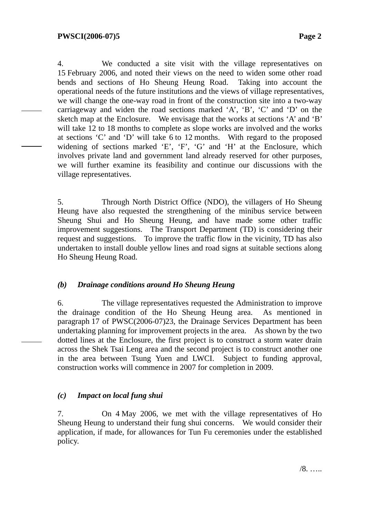4. We conducted a site visit with the village representatives on 15 February 2006, and noted their views on the need to widen some other road bends and sections of Ho Sheung Heung Road. Taking into account the operational needs of the future institutions and the views of village representatives, we will change the one-way road in front of the construction site into a two-way carriageway and widen the road sections marked 'A', 'B', 'C' and 'D' on the sketch map at the Enclosure. We envisage that the works at sections 'A' and 'B' will take 12 to 18 months to complete as slope works are involved and the works at sections 'C' and 'D' will take 6 to 12 months. With regard to the proposed widening of sections marked 'E', 'F', 'G' and 'H' at the Enclosure, which involves private land and government land already reserved for other purposes, we will further examine its feasibility and continue our discussions with the village representatives.

5. Through North District Office (NDO), the villagers of Ho Sheung Heung have also requested the strengthening of the minibus service between Sheung Shui and Ho Sheung Heung, and have made some other traffic improvement suggestions. The Transport Department (TD) is considering their request and suggestions. To improve the traffic flow in the vicinity, TD has also undertaken to install double yellow lines and road signs at suitable sections along Ho Sheung Heung Road.

## *(b) Drainage conditions around Ho Sheung Heung*

6. The village representatives requested the Administration to improve the drainage condition of the Ho Sheung Heung area. As mentioned in paragraph 17 of PWSC(2006-07)23, the Drainage Services Department has been undertaking planning for improvement projects in the area. As shown by the two dotted lines at the Enclosure, the first project is to construct a storm water drain across the Shek Tsai Leng area and the second project is to construct another one in the area between Tsung Yuen and LWCI. Subject to funding approval, construction works will commence in 2007 for completion in 2009.

## *(c) Impact on local fung shui*

7. On 4 May 2006, we met with the village representatives of Ho Sheung Heung to understand their fung shui concerns. We would consider their application, if made, for allowances for Tun Fu ceremonies under the established policy.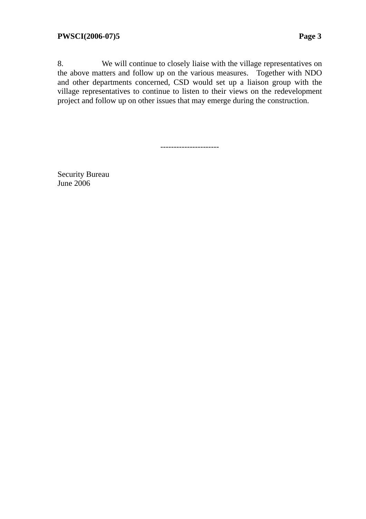8. We will continue to closely liaise with the village representatives on the above matters and follow up on the various measures. Together with NDO and other departments concerned, CSD would set up a liaison group with the village representatives to continue to listen to their views on the redevelopment project and follow up on other issues that may emerge during the construction.

----------------------

Security Bureau June 2006